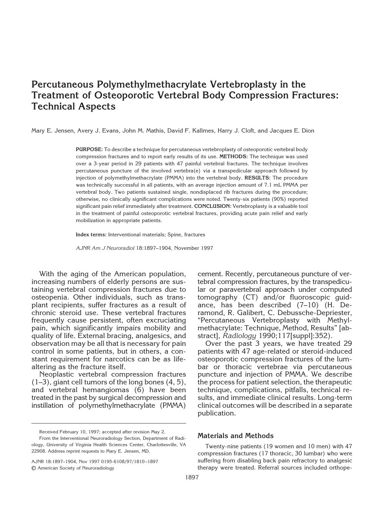# **Percutaneous Polymethylmethacrylate Vertebroplasty in the Treatment of Osteoporotic Vertebral Body Compression Fractures: Technical Aspects**

Mary E. Jensen, Avery J. Evans, John M. Mathis, David F. Kallmes, Harry J. Cloft, and Jacques E. Dion

**PURPOSE:** To describe a technique for percutaneous vertebroplasty of osteoporotic vertebral body compression fractures and to report early results of its use. **METHODS:** The technique was used over a 3-year period in 29 patients with 47 painful vertebral fractures. The technique involves percutaneous puncture of the involved vertebra(e) via a transpedicular approach followed by injection of polymethylmethacrylate (PMMA) into the vertebral body. **RESULTS:** The procedure was technically successful in all patients, with an average injection amount of 7.1 mL PMMA per vertebral body. Two patients sustained single, nondisplaced rib fractures during the procedure; otherwise, no clinically significant complications were noted. Twenty-six patients (90%) reported significant pain relief immediately after treatment. **CONCLUSION:** Vertebroplasty is a valuable tool in the treatment of painful osteoporotic vertebral fractures, providing acute pain relief and early mobilization in appropriate patients.

**Index terms:** Interventional materials; Spine, fractures

*AJNR Am J Neuroradiol* 18:1897–1904, November 1997

With the aging of the American population, increasing numbers of elderly persons are sustaining vertebral compression fractures due to osteopenia. Other individuals, such as transplant recipients, suffer fractures as a result of chronic steroid use. These vertebral fractures frequently cause persistent, often excruciating pain, which significantly impairs mobility and quality of life. External bracing, analgesics, and observation may be all that is necessary for pain control in some patients, but in others, a constant requirement for narcotics can be as lifealtering as the fracture itself.

Neoplastic vertebral compression fractures (1–3), giant cell tumors of the long bones (4, 5), and vertebral hemangiomas (6) have been treated in the past by surgical decompression and instillation of polymethylmethacrylate (PMMA)

AJNR 18:1897–1904, Nov 1997 0195-6108/97/1810–1897 © American Society of Neuroradiology

cement. Recently, percutaneous puncture of vertebral compression fractures, by the transpedicular or paravertebral approach under computed tomography (CT) and/or fluoroscopic quidance, has been described (7–10) (H. Deramond, R. Galibert, C. Debussche-Depriester, "Percutaneous Vertebroplasty with Methylmethacrylate: Technique, Method, Results" [abstract], *Radiology* 1990;117[suppl]:352).

Over the past 3 years, we have treated 29 patients with 47 age-related or steroid-induced osteoporotic compression fractures of the lumbar or thoracic vertebrae via percutaneous puncture and injection of PMMA. We describe the process for patient selection, the therapeutic technique, complications, pitfalls, technical results, and immediate clinical results. Long-term clinical outcomes will be described in a separate publication.

# **Materials and Methods**

Twenty-nine patients (19 women and 10 men) with 47 compression fractures (17 thoracic, 30 lumbar) who were suffering from disabling back pain refractory to analgesic therapy were treated. Referral sources included orthope-

Received February 10, 1997; accepted after revision May 2.

From the Interventional Neuroradiology Section, Department of Radiology, University of Virginia Health Sciences Center, Charlottesville, VA 22908. Address reprint requests to Mary E. Jensen, MD.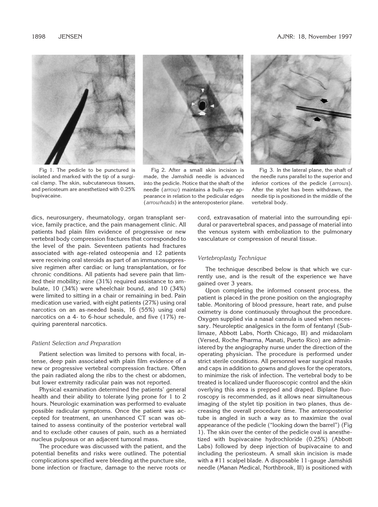

Fig 1. The pedicle to be punctured is isolated and marked with the tip of a surgical clamp. The skin, subcutaneous tissues, and periosteum are anesthetized with 0.25% bupivacaine.



Fig 2. After a small skin incision is made, the Jamshidi needle is advanced into the pedicle. Notice that the shaft of the needle (*arrow*) maintains a bulls-eye appearance in relation to the pedicular edges (*arrowheads*) in the anteroposterior plane.



Fig 3. In the lateral plane, the shaft of the needle runs parallel to the superior and inferior cortices of the pedicle (*arrows*). After the stylet has been withdrawn, the needle tip is positioned in the middle of the vertebral body.

dics, neurosurgery, rheumatology, organ transplant service, family practice, and the pain management clinic. All patients had plain film evidence of progressive or new vertebral body compression fractures that corresponded to the level of the pain. Seventeen patients had fractures associated with age-related osteopenia and 12 patients were receiving oral steroids as part of an immunosuppressive regimen after cardiac or lung transplantation, or for chronic conditions. All patients had severe pain that limited their mobility; nine (31%) required assistance to ambulate, 10 (34%) were wheelchair bound, and 10 (34%) were limited to sitting in a chair or remaining in bed. Pain medication use varied, with eight patients (27%) using oral narcotics on an as-needed basis, 16 (55%) using oral narcotics on a 4- to 6-hour schedule, and five (17%) requiring parenteral narcotics.

### *Patient Selection and Preparation*

Patient selection was limited to persons with focal, intense, deep pain associated with plain film evidence of a new or progressive vertebral compression fracture. Often the pain radiated along the ribs to the chest or abdomen, but lower extremity radicular pain was not reported.

Physical examination determined the patients' general health and their ability to tolerate lying prone for 1 to 2 hours. Neurologic examination was performed to evaluate possible radicular symptoms. Once the patient was accepted for treatment, an unenhanced CT scan was obtained to assess continuity of the posterior vertebral wall and to exclude other causes of pain, such as a herniated nucleus pulposus or an adjacent tumoral mass.

The procedure was discussed with the patient, and the potential benefits and risks were outlined. The potential complications specified were bleeding at the puncture site, bone infection or fracture, damage to the nerve roots or

cord, extravasation of material into the surrounding epidural or paravertebral spaces, and passage of material into the venous system with embolization to the pulmonary vasculature or compression of neural tissue.

### *Vertebroplasty Technique*

The technique described below is that which we currently use, and is the result of the experience we have gained over 3 years.

Upon completing the informed consent process, the patient is placed in the prone position on the angiography table. Monitoring of blood pressure, heart rate, and pulse oximetry is done continuously throughout the procedure. Oxygen supplied via a nasal cannula is used when necessary. Neuroleptic analgesics in the form of fentanyl (Sublimaze, Abbott Labs, North Chicago, Ill) and midazolam (Versed, Roche Pharma, Manati, Puerto Rico) are administered by the angiography nurse under the direction of the operating physician. The procedure is performed under strict sterile conditions. All personnel wear surgical masks and caps in addition to gowns and gloves for the operators, to minimize the risk of infection. The vertebral body to be treated is localized under fluoroscopic control and the skin overlying this area is prepped and draped. Biplane fluoroscopy is recommended, as it allows near simultaneous imaging of the stylet tip position in two planes, thus decreasing the overall procedure time. The anteroposterior tube is angled in such a way as to maximize the oval appearance of the pedicle ("looking down the barrel") (Fig 1). The skin over the center of the pedicle oval is anesthetized with bupivacaine hydrochloride (0.25%) (Abbott Labs) followed by deep injection of bupivacaine to and including the periosteum. A small skin incision is made with a #11 scalpel blade. A disposable 11-gauge Jamshidi needle (Manan Medical, Northbrook, Ill) is positioned with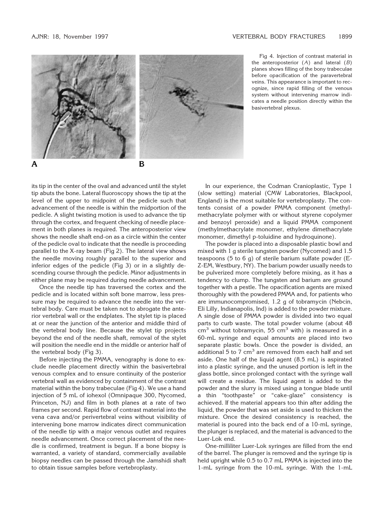

Fig 4. Injection of contrast material in the anteroposterior (*A*) and lateral (*B*) planes shows filling of the bony trabeculae before opacification of the paravertebral veins. This appearance is important to recognize, since rapid filling of the venous system without intervening marrow indicates a needle position directly within the basivertebral plexus.

its tip in the center of the oval and advanced until the stylet tip abuts the bone. Lateral fluoroscopy shows the tip at the level of the upper to midpoint of the pedicle such that advancement of the needle is within the midportion of the pedicle. A slight twisting motion is used to advance the tip through the cortex, and frequent checking of needle placement in both planes is required. The anteroposterior view shows the needle shaft end-on as a circle within the center of the pedicle oval to indicate that the needle is proceeding parallel to the X-ray beam (Fig 2). The lateral view shows the needle moving roughly parallel to the superior and inferior edges of the pedicle (Fig 3) or in a slightly descending course through the pedicle. Minor adjustments in either plane may be required during needle advancement.

Once the needle tip has traversed the cortex and the pedicle and is located within soft bone marrow, less pressure may be required to advance the needle into the vertebral body. Care must be taken not to abrogate the anterior vertebral wall or the endplates. The stylet tip is placed at or near the junction of the anterior and middle third of the vertebral body line. Because the stylet tip projects beyond the end of the needle shaft, removal of the stylet will position the needle end in the middle or anterior half of the vertebral body (Fig 3).

Before injecting the PMMA, venography is done to exclude needle placement directly within the basivertebral venous complex and to ensure continuity of the posterior vertebral wall as evidenced by containment of the contrast material within the bony trabeculae (Fig 4). We use a hand injection of 5 mL of iohexol (Omnipaque 300, Nycomed, Princeton, NJ) and film in both planes at a rate of two frames per second. Rapid flow of contrast material into the vena cava and/or perivertebral veins without visibility of intervening bone marrow indicates direct communication of the needle tip with a major venous outlet and requires needle advancement. Once correct placement of the needle is confirmed, treatment is begun. If a bone biopsy is warranted, a variety of standard, commercially available biopsy needles can be passed through the Jamshidi shaft to obtain tissue samples before vertebroplasty.

In our experience, the Codman Cranioplastic, Type 1 (slow setting) material (CMW Laboratories, Blackpool, England) is the most suitable for vertebroplasty. The contents consist of a powder PMMA component (methylmethacrylate polymer with or without styrene copolymer and benzoyl peroxide) and a liquid PMMA component (methylmethacrylate monomer, ethylene dimethacrylate monomer, dimethyl p-toluidine and hydroquinone).

The powder is placed into a disposable plastic bowl and mixed with 1 g sterile tungsten powder (Nycomed) and 1.5 teaspoons (5 to 6 g) of sterile barium sulfate powder (E-Z-EM, Westbury, NY). The barium powder usually needs to be pulverized more completely before mixing, as it has a tendency to clump. The tungsten and barium are ground together with a pestle. The opacification agents are mixed thoroughly with the powdered PMMA and, for patients who are immunocompromised, 1.2 g of tobramycin (Nebcin, Eli Lilly, Indianapolis, Ind) is added to the powder mixture. A single dose of PMMA powder is divided into two equal parts to curb waste. The total powder volume (about 48  $cm<sup>3</sup>$  without tobramycin, 55 cm<sup>3</sup> with) is measured in a 60-mL syringe and equal amounts are placed into two separate plastic bowls. Once the powder is divided, an additional 5 to 7  $cm<sup>3</sup>$  are removed from each half and set aside. One half of the liquid agent (8.5 mL) is aspirated into a plastic syringe, and the unused portion is left in the glass bottle, since prolonged contact with the syringe wall will create a residue. The liquid agent is added to the powder and the slurry is mixed using a tongue blade until a thin "toothpaste" or "cake-glaze" consistency is achieved. If the material appears too thin after adding the liquid, the powder that was set aside is used to thicken the mixture. Once the desired consistency is reached, the material is poured into the back end of a 10-mL syringe, the plunger is replaced, and the material is advanced to the Luer-Lok end.

One-milliliter Luer-Lok syringes are filled from the end of the barrel. The plunger is removed and the syringe tip is held upright while 0.5 to 0.7 mL PMMA is injected into the 1-mL syringe from the 10-mL syringe. With the 1-mL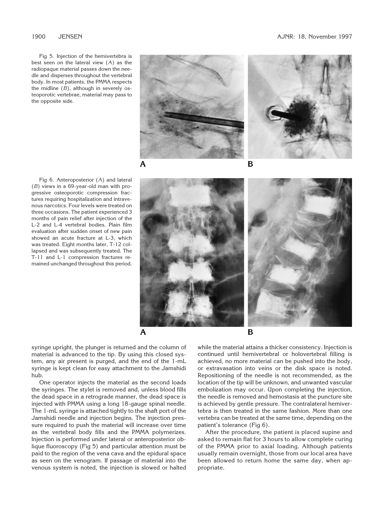Fig 5. Injection of the hemivertebra is best seen on the lateral view (*A*) as the radiopaque material passes down the needle and disperses throughout the vertebral body. In most patients, the PMMA respects the midline (*B*), although in severely osteoporotic vertebrae, material may pass to the opposite side.





Fig 6. Anteroposterior (*A*) and lateral (*B*) views in a 69-year-old man with progressive osteoporotic compression fractures requiring hospitalization and intravenous narcotics. Four levels were treated on three occasions. The patient experienced 3 months of pain relief after injection of the L-2 and L-4 vertebral bodies. Plain film evaluation after sudden onset of new pain showed an acute fracture at L-3, which was treated. Eight months later, T-12 collapsed and was subsequently treated. The T-11 and L-1 compression fractures remained unchanged throughout this period.



syringe upright, the plunger is returned and the column of material is advanced to the tip. By using this closed system, any air present is purged, and the end of the 1-mL syringe is kept clean for easy attachment to the Jamshidi hub.

One operator injects the material as the second loads the syringes. The stylet is removed and, unless blood fills the dead space in a retrograde manner, the dead space is injected with PMMA using a long 18-gauge spinal needle. The 1-mL syringe is attached tightly to the shaft port of the Jamshidi needle and injection begins. The injection pressure required to push the material will increase over time as the vertebral body fills and the PMMA polymerizes. Injection is performed under lateral or anteroposterior oblique fluoroscopy (Fig 5) and particular attention must be paid to the region of the vena cava and the epidural space as seen on the venogram. If passage of material into the venous system is noted, the injection is slowed or halted

while the material attains a thicker consistency. Injection is continued until hemivertebral or holovertebral filling is achieved, no more material can be pushed into the body, or extravasation into veins or the disk space is noted. Repositioning of the needle is not recommended, as the location of the tip will be unknown, and unwanted vascular embolization may occur. Upon completing the injection, the needle is removed and hemostasis at the puncture site is achieved by gentle pressure. The contralateral hemivertebra is then treated in the same fashion. More than one vertebra can be treated at the same time, depending on the patient's tolerance (Fig 6).

After the procedure, the patient is placed supine and asked to remain flat for 3 hours to allow complete curing of the PMMA prior to axial loading. Although patients usually remain overnight, those from our local area have been allowed to return home the same day, when appropriate.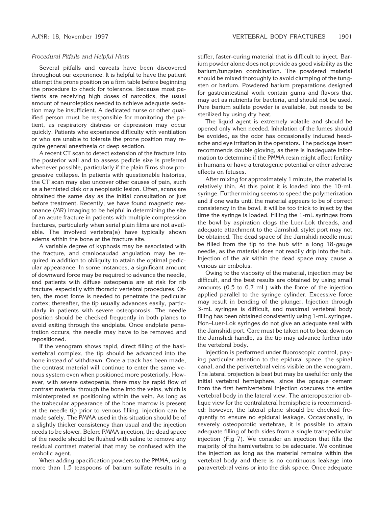### *Procedural Pitfalls and Helpful Hints*

Several pitfalls and caveats have been discovered throughout our experience. It is helpful to have the patient attempt the prone position on a firm table before beginning the procedure to check for tolerance. Because most patients are receiving high doses of narcotics, the usual amount of neuroleptics needed to achieve adequate sedation may be insufficient. A dedicated nurse or other qualified person must be responsible for monitoring the patient, as respiratory distress or depression may occur quickly. Patients who experience difficulty with ventilation or who are unable to tolerate the prone position may require general anesthesia or deep sedation.

A recent CT scan to detect extension of the fracture into the posterior wall and to assess pedicle size is preferred whenever possible, particularly if the plain films show progressive collapse. In patients with questionable histories, the CT scan may also uncover other causes of pain, such as a herniated disk or a neoplastic lesion. Often, scans are obtained the same day as the initial consultation or just before treatment. Recently, we have found magnetic resonance (MR) imaging to be helpful in determining the site of an acute fracture in patients with multiple compression fractures, particularly when serial plain films are not available. The involved vertebra(e) have typically shown edema within the bone at the fracture site.

A variable degree of kyphosis may be associated with the fracture, and craniocaudad angulation may be required in addition to obliquity to attain the optimal pedicular appearance. In some instances, a significant amount of downward force may be required to advance the needle, and patients with diffuse osteopenia are at risk for rib fracture, especially with thoracic vertebral procedures. Often, the most force is needed to penetrate the pedicular cortex; thereafter, the tip usually advances easily, particularly in patients with severe osteoporosis. The needle position should be checked frequently in both planes to avoid exiting through the endplate. Once endplate penetration occurs, the needle may have to be removed and repositioned.

If the venogram shows rapid, direct filling of the basivertebral complex, the tip should be advanced into the bone instead of withdrawn. Once a track has been made, the contrast material will continue to enter the same venous system even when positioned more posteriorly. However, with severe osteopenia, there may be rapid flow of contrast material through the bone into the veins, which is misinterpreted as positioning within the vein. As long as the trabecular appearance of the bone marrow is present at the needle tip prior to venous filling, injection can be made safely. The PMMA used in this situation should be of a slightly thicker consistency than usual and the injection needs to be slower. Before PMMA injection, the dead space of the needle should be flushed with saline to remove any residual contrast material that may be confused with the embolic agent.

When adding opacification powders to the PMMA, using more than 1.5 teaspoons of barium sulfate results in a

stiffer, faster-curing material that is difficult to inject. Barium powder alone does not provide as good visibility as the barium/tungsten combination. The powdered material should be mixed thoroughly to avoid clumping of the tungsten or barium. Powdered barium preparations designed for gastrointestinal work contain gums and flavors that may act as nutrients for bacteria, and should not be used. Pure barium sulfate powder is available, but needs to be sterilized by using dry heat.

The liquid agent is extremely volatile and should be opened only when needed. Inhalation of the fumes should be avoided, as the odor has occasionally induced headache and eye irritation in the operators. The package insert recommends double gloving, as there is inadequate information to determine if the PMMA resin might affect fertility in humans or have a teratogenic potential or other adverse effects on fetuses.

After mixing for approximately 1 minute, the material is relatively thin. At this point it is loaded into the 10-mL syringe. Further mixing seems to speed the polymerization and if one waits until the material appears to be of correct consistency in the bowl, it will be too thick to inject by the time the syringe is loaded. Filling the 1-mL syringes from the bowl by aspiration clogs the Luer-Lok threads, and adequate attachment to the Jamshidi stylet port may not be obtained. The dead space of the Jamshidi needle must be filled from the tip to the hub with a long 18-gauge needle, as the material does not readily drip into the hub. Injection of the air within the dead space may cause a venous air embolus.

Owing to the viscosity of the material, injection may be difficult, and the best results are obtained by using small amounts (0.5 to 0.7 mL) with the force of the injection applied parallel to the syringe cylinder. Excessive force may result in bending of the plunger. Injection through 3-mL syringes is difficult, and maximal vertebral body filling has been obtained consistently using 1-mL syringes. Non–Luer-Lok syringes do not give an adequate seal with the Jamshidi port. Care must be taken not to bear down on the Jamshidi handle, as the tip may advance further into the vertebral body.

Injection is performed under fluoroscopic control, paying particular attention to the epidural space, the spinal canal, and the perivertebral veins visible on the venogram. The lateral projection is best but may be useful for only the initial vertebral hemisphere, since the opaque cement from the first hemivertebral injection obscures the entire vertebral body in the lateral view. The anteroposterior oblique view for the contralateral hemisphere is recommended; however, the lateral plane should be checked frequently to ensure no epidural leakage. Occasionally, in severely osteoporotic vertebrae, it is possible to attain adequate filling of both sides from a single transpedicular injection (Fig 7). We consider an injection that fills the majority of the hemivertebra to be adequate. We continue the injection as long as the material remains within the vertebral body and there is no continuous leakage into paravertebral veins or into the disk space. Once adequate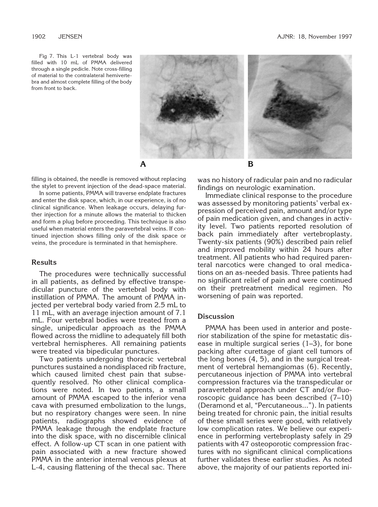Fig 7. This L-1 vertebral body was filled with 10 mL of PMMA delivered through a single pedicle. Note cross-filling of material to the contralateral hemivertebra and almost complete filling of the body from front to back.



filling is obtained, the needle is removed without replacing the stylet to prevent injection of the dead-space material.

In some patients, PMMA will traverse endplate fractures and enter the disk space, which, in our experience, is of no clinical significance. When leakage occurs, delaying further injection for a minute allows the material to thicken and form a plug before proceeding. This technique is also useful when material enters the paravertebral veins. If continued injection shows filling only of the disk space or veins, the procedure is terminated in that hemisphere.

### **Results**

The procedures were technically successful in all patients, as defined by effective transpedicular puncture of the vertebral body with instillation of PMMA. The amount of PMMA injected per vertebral body varied from 2.5 mL to 11 mL, with an average injection amount of 7.1 mL. Four vertebral bodies were treated from a single, unipedicular approach as the PMMA flowed across the midline to adequately fill both vertebral hemispheres. All remaining patients were treated via bipedicular punctures.

Two patients undergoing thoracic vertebral punctures sustained a nondisplaced rib fracture, which caused limited chest pain that subsequently resolved. No other clinical complications were noted. In two patients, a small amount of PMMA escaped to the inferior vena cava with presumed embolization to the lungs, but no respiratory changes were seen. In nine patients, radiographs showed evidence of PMMA leakage through the endplate fracture into the disk space, with no discernible clinical effect. A follow-up CT scan in one patient with pain associated with a new fracture showed PMMA in the anterior internal venous plexus at L-4, causing flattening of the thecal sac. There

was no history of radicular pain and no radicular findings on neurologic examination.

Immediate clinical response to the procedure was assessed by monitoring patients' verbal expression of perceived pain, amount and/or type of pain medication given, and changes in activity level. Two patients reported resolution of back pain immediately after vertebroplasty. Twenty-six patients (90%) described pain relief and improved mobility within 24 hours after treatment. All patients who had required parenteral narcotics were changed to oral medications on an as-needed basis. Three patients had no significant relief of pain and were continued on their pretreatment medical regimen. No worsening of pain was reported.

## **Discussion**

PMMA has been used in anterior and posterior stabilization of the spine for metastatic disease in multiple surgical series (1–3), for bone packing after curettage of giant cell tumors of the long bones (4, 5), and in the surgical treatment of vertebral hemangiomas (6). Recently, percutaneous injection of PMMA into vertebral compression fractures via the transpedicular or paravertebral approach under CT and/or fluoroscopic guidance has been described (7–10) (Deramond et al, "Percutaneous..."). In patients being treated for chronic pain, the initial results of these small series were good, with relatively low complication rates. We believe our experience in performing vertebroplasty safely in 29 patients with 47 osteoporotic compression fractures with no significant clinical complications further validates these earlier studies. As noted above, the majority of our patients reported ini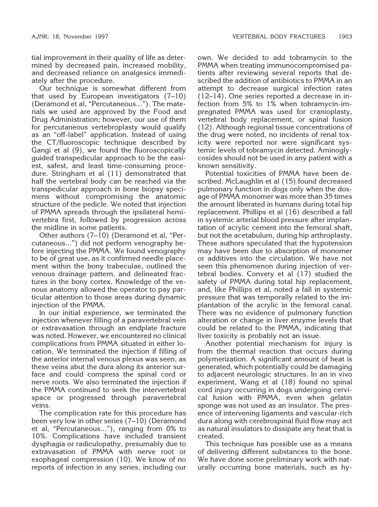tial improvement in their quality of life as determined by decreased pain, increased mobility, and decreased reliance on analgesics immediately after the procedure.

Our technique is somewhat different from that used by European investigators (7–10) (Deramond et al, "Percutaneous..."). The materials we used are approved by the Food and Drug Administration; however, our use of them for percutaneous vertebroplasty would qualify as an "off-label" application. Instead of using the CT/fluoroscopic technique described by Gangi et al (9), we found the fluoroscopically guided transpedicular approach to be the easiest, safest, and least time-consuming procedure. Stringham et al (11) demonstrated that half the vertebral body can be reached via the transpedicular approach in bone biopsy specimens without compromising the anatomic structure of the pedicle. We noted that injection of PMMA spreads through the ipsilateral hemivertebra first, followed by progression across the midline in some patients.

Other authors (7–10) (Deramond et al, "Percutaneous...") did not perform venography before injecting the PMMA. We found venography to be of great use, as it confirmed needle placement within the bony trabeculae, outlined the venous drainage pattern, and delineated fractures in the bony cortex. Knowledge of the venous anatomy allowed the operator to pay particular attention to those areas during dynamic injection of the PMMA.

In our initial experience, we terminated the injection whenever filling of a paravertebral vein or extravasation through an endplate fracture was noted. However, we encountered no clinical complications from PMMA situated in either location. We terminated the injection if filling of the anterior internal venous plexus was seen, as these veins abut the dura along its anterior surface and could compress the spinal cord or nerve roots. We also terminated the injection if the PMMA continued to seek the intervertebral space or progressed through paravertebral veins.

The complication rate for this procedure has been very low in other series (7–10) (Deramond et al, "Percutaneous..."), ranging from 0% to 10%. Complications have included transient dysphagia or radiculopathy, presumably due to extravasation of PMMA with nerve root or esophageal compression (10). We know of no reports of infection in any series, including our

own. We decided to add tobramycin to the PMMA when treating immunocompromised patients after reviewing several reports that described the addition of antibiotics to PMMA in an attempt to decrease surgical infection rates (12–14). One series reported a decrease in infection from 5% to 1% when tobramycin-impregnated PMMA was used for cranioplasty, vertebral body replacement, or spinal fusion (12). Although regional tissue concentrations of the drug were noted, no incidents of renal toxicity were reported nor were significant systemic levels of tobramycin detected. Aminoglycosides should not be used in any patient with a known sensitivity.

Potential toxicities of PMMA have been described. McLaughlin et al (15) found decreased pulmonary function in dogs only when the dosage of PMMA monomer was more than 35 times the amount liberated in humans during total hip replacement. Phillips et al (16) described a fall in systemic arterial blood pressure after implantation of acrylic cement into the femoral shaft, but not the acetabulum, during hip arthroplasty. These authors speculated that the hypotension may have been due to absorption of monomer or additives into the circulation. We have not seen this phenomenon during injection of vertebral bodies. Convery et al (17) studied the safety of PMMA during total hip replacement, and, like Phillips et al, noted a fall in systemic pressure that was temporally related to the implantation of the acrylic in the femoral canal. There was no evidence of pulmonary function alteration or change in liver enzyme levels that could be related to the PMMA, indicating that liver toxicity is probably not an issue.

Another potential mechanism for injury is from the thermal reaction that occurs during polymerization. A significant amount of heat is generated, which potentially could be damaging to adjacent neurologic structures. In an in vivo experiment, Wang et al (18) found no spinal cord injury occurring in dogs undergoing cervical fusion with PMMA, even when gelatin sponge was not used as an insulator. The presence of intervening ligaments and vascular-rich dura along with cerebrospinal fluid flow may act as natural insulators to dissipate any heat that is created.

This technique has possible use as a means of delivering different substances to the bone. We have done some preliminary work with naturally occurring bone materials, such as hy